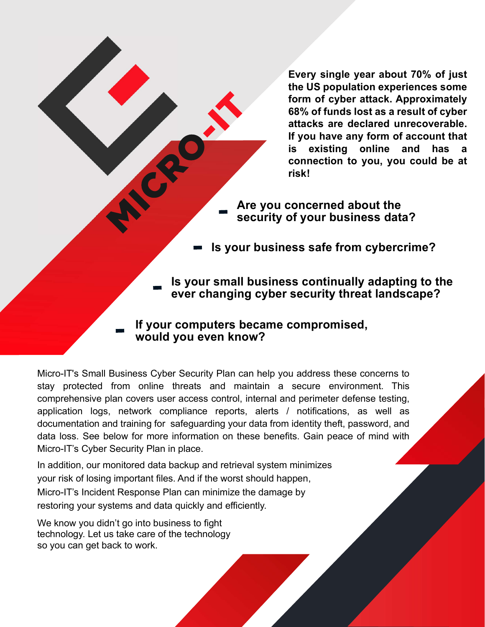Every single year about 70% of just the US population experiences some form of cyber attack. Approximately 68% of funds lost as a result of cyber attacks are declared unrecoverable. If you have any form of account that is existing online and has a connection to you, you could be at risk!

Are you concerned about the security of your business data?

Is your business safe from cybercrime?

Is your small business continually adapting to the ever changing cyber security threat landscape?

If your computers became compromised, would you even know?

Micro-IT's Small Business Cyber Security Plan can help you address these concerns to stay protected from online threats and maintain a secure environment. This comprehensive plan covers user access control, internal and perimeter defense testing, application logs, network compliance reports, alerts / notifications, as well as documentation and training for safeguarding your data from identity theft, password, and data loss. See below for more information on these benefits. Gain peace of mind with Micro-IT's Cyber Security Plan in place.

In addition, our monitored data backup and retrieval system minimizes your risk of losing important files. And if the worst should happen, Micro-IT's Incident Response Plan can minimize the damage by restoring your systems and data quickly and efficiently.

We know you didn't go into business to fight technology. Let us take care of the technology so you can get back to work.